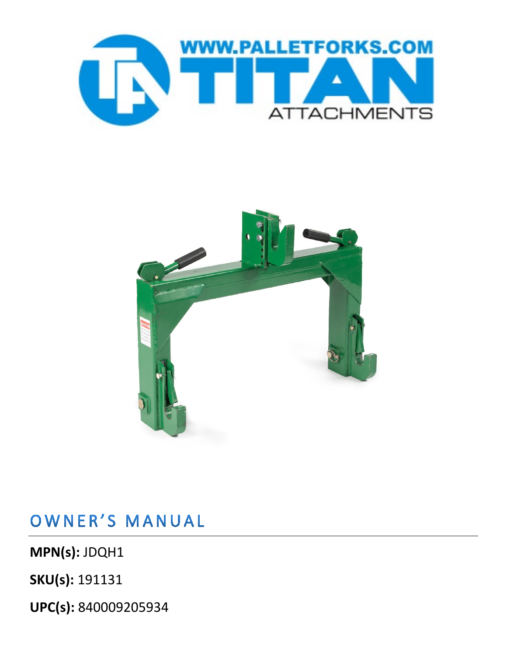



## OWNER'S MANUAL

**MPN(s):** JDQH1

**SKU(s):** 191131

**UPC(s):** 840009205934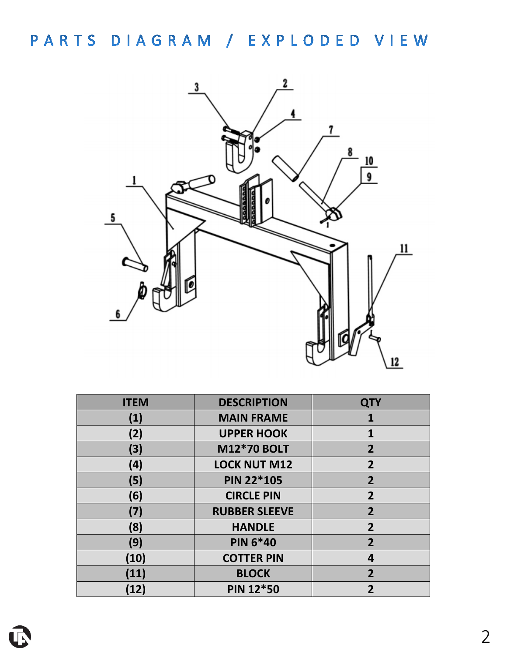

| <b>ITEM</b> | <b>DESCRIPTION</b>   | <b>QTY</b>     |
|-------------|----------------------|----------------|
| (1)         | <b>MAIN FRAME</b>    | 1              |
| (2)         | <b>UPPER HOOK</b>    | $\mathbf{1}$   |
| (3)         | <b>M12*70 BOLT</b>   | $\overline{2}$ |
| (4)         | <b>LOCK NUT M12</b>  | $\overline{2}$ |
| (5)         | <b>PIN 22*105</b>    | $\overline{2}$ |
| (6)         | <b>CIRCLE PIN</b>    | $\overline{2}$ |
| (7)         | <b>RUBBER SLEEVE</b> | $\overline{2}$ |
| (8)         | <b>HANDLE</b>        | $\overline{2}$ |
| (9)         | <b>PIN 6*40</b>      | $\overline{2}$ |
| (10)        | <b>COTTER PIN</b>    | 4              |
| (11)        | <b>BLOCK</b>         | $\overline{2}$ |
| (12)        | <b>PIN 12*50</b>     | 2              |